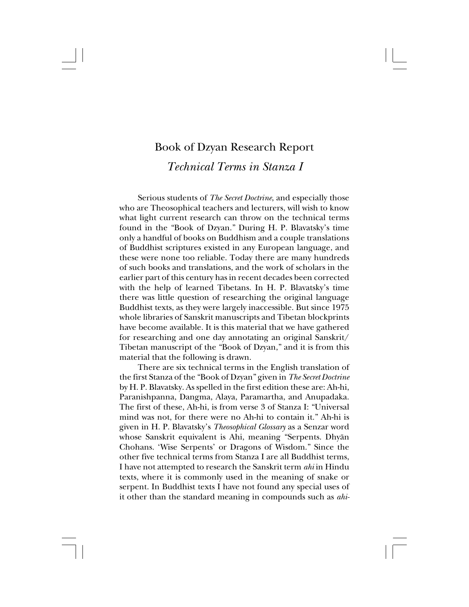## Book of Dzyan Research Report *Technical Terms in Stanza I*

Serious students of *The Secret Doctrine*, and especially those who are Theosophical teachers and lecturers, will wish to know what light current research can throw on the technical terms found in the "Book of Dzyan." During H. P. Blavatsky's time only a handful of books on Buddhism and a couple translations of Buddhist scriptures existed in any European language, and these were none too reliable. Today there are many hundreds of such books and translations, and the work of scholars in the earlier part of this century has in recent decades been corrected with the help of learned Tibetans. In H. P. Blavatsky's time there was little question of researching the original language Buddhist texts, as they were largely inaccessible. But since 1975 whole libraries of Sanskrit manuscripts and Tibetan blockprints have become available. It is this material that we have gathered for researching and one day annotating an original Sanskrit/ Tibetan manuscript of the "Book of Dzyan," and it is from this material that the following is drawn.

There are six technical terms in the English translation of the first Stanza of the "Book of Dzyan" given in *The Secret Doctrine* by H. P. Blavatsky. As spelled in the first edition these are: Ah-hi, Paranishpanna, Dangma, Alaya, Paramartha, and Anupadaka. The first of these, Ah-hi, is from verse 3 of Stanza I: "Universal mind was not, for there were no Ah-hi to contain it." Ah-hi is given in H. P. Blavatsky's *Theosophical Glossary* as a Senzar word whose Sanskrit equivalent is Ahi, meaning "Serpents. Dhyån Chohans. 'Wise Serpents' or Dragons of Wisdom." Since the other five technical terms from Stanza I are all Buddhist terms, I have not attempted to research the Sanskrit term *ahi* in Hindu texts, where it is commonly used in the meaning of snake or serpent. In Buddhist texts I have not found any special uses of it other than the standard meaning in compounds such as *ahi-*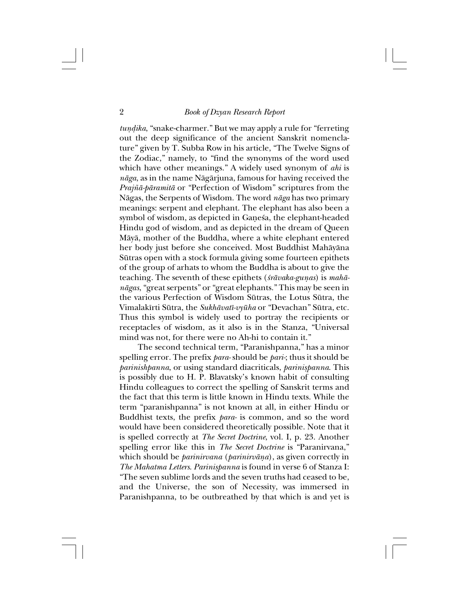*tundika*, "snake-charmer." But we may apply a rule for "ferreting" out the deep significance of the ancient Sanskrit nomenclature" given by T. Subba Row in his article, "The Twelve Signs of the Zodiac," namely, to "find the synonyms of the word used which have other meanings." A widely used synonym of *ahi* is *någa*, as in the name Någårjuna, famous for having received the *Praj∆å-påramitå* or "Perfection of Wisdom" scriptures from the Någas, the Serpents of Wisdom. The word *någa* has two primary meanings: serpent and elephant. The elephant has also been a symbol of wisdom, as depicted in Gaṇeśa, the elephant-headed Hindu god of wisdom, and as depicted in the dream of Queen Måyå, mother of the Buddha, where a white elephant entered her body just before she conceived. Most Buddhist Mahåyåna Sütras open with a stock formula giving some fourteen epithets of the group of arhats to whom the Buddha is about to give the teaching. The seventh of these epithets (*śrāvaka-gunas*) is *mahānågas*, "great serpents" or "great elephants." This may be seen in the various Perfection of Wisdom Sütras, the Lotus Sütra, the Vimalakîrti Sütra, the *Sukhåvatî-vyüha* or "Devachan" Sütra, etc. Thus this symbol is widely used to portray the recipients or receptacles of wisdom, as it also is in the Stanza, "Universal mind was not, for there were no Ah-hi to contain it."

The second technical term, "Paranishpanna," has a minor spelling error. The prefix *para-* should be *pari-*; thus it should be *parinishpanna*, or using standard diacriticals, *parinißpanna*. This is possibly due to H. P. Blavatsky's known habit of consulting Hindu colleagues to correct the spelling of Sanskrit terms and the fact that this term is little known in Hindu texts. While the term "paranishpanna" is not known at all, in either Hindu or Buddhist texts, the prefix *para-* is common, and so the word would have been considered theoretically possible. Note that it is spelled correctly at *The Secret Doctrine*, vol. I, p. 23. Another spelling error like this in *The Secret Doctrine* is "Paranirvana," which should be *parinirvana* (*parinirvåña*), as given correctly in *The Mahatma Letters*. *Parinißpanna* is found in verse 6 of Stanza I: "The seven sublime lords and the seven truths had ceased to be, and the Universe, the son of Necessity, was immersed in Paranishpanna, to be outbreathed by that which is and yet is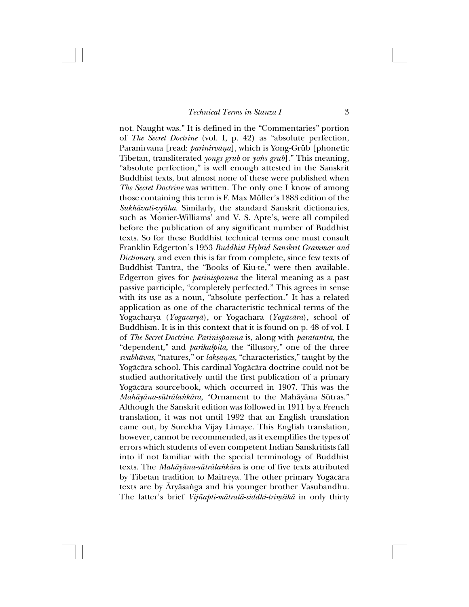not. Naught was." It is defined in the "Commentaries" portion of *The Secret Doctrine* (vol. I, p. 42) as "absolute perfection, Paranirvana [read: *parinirvåña*], which is Yong-Grüb [phonetic Tibetan, transliterated *yongs grub* or *yons grub*]." This meaning, "absolute perfection," is well enough attested in the Sanskrit Buddhist texts, but almost none of these were published when *The Secret Doctrine* was written. The only one I know of among those containing this term is F. Max Müller's 1883 edition of the *Sukhåvatî-vyüha*. Similarly, the standard Sanskrit dictionaries, such as Monier-Williams' and V. S. Apte's, were all compiled before the publication of any significant number of Buddhist texts. So for these Buddhist technical terms one must consult Franklin Edgerton's 1953 *Buddhist Hybrid Sanskrit Grammar and Dictionary*, and even this is far from complete, since few texts of Buddhist Tantra, the "Books of Kiu-te," were then available. Edgerton gives for *parinißpanna* the literal meaning as a past passive participle, "completely perfected." This agrees in sense with its use as a noun, "absolute perfection." It has a related application as one of the characteristic technical terms of the Yogacharya (*Yogacaryå*), or Yogachara (*Yogåcåra*), school of Buddhism. It is in this context that it is found on p. 48 of vol. I of *The Secret Doctrine*. *Parinißpanna* is, along with *paratantra*, the "dependent," and *parikalpita*, the "illusory," one of the three *svabhåvas*, "natures," or *lakßañas*, "characteristics," taught by the Yogåcåra school. This cardinal Yogåcåra doctrine could not be studied authoritatively until the first publication of a primary Yogåcåra sourcebook, which occurred in 1907. This was the *Mahåyåna-sütråla∫kåra*, "Ornament to the Mahåyåna Sütras." Although the Sanskrit edition was followed in 1911 by a French translation, it was not until 1992 that an English translation came out, by Surekha Vijay Limaye. This English translation, however, cannot be recommended, as it exemplifies the types of errors which students of even competent Indian Sanskritists fall into if not familiar with the special terminology of Buddhist texts. The *Mahåyåna-sütråla∫kåra* is one of five texts attributed by Tibetan tradition to Maitreya. The other primary Yogåcåra texts are by Āryāsaṅga and his younger brother Vasubandhu. The latter's brief *Vij∆apti-måtratå-siddhi-triµ≈ikå* in only thirty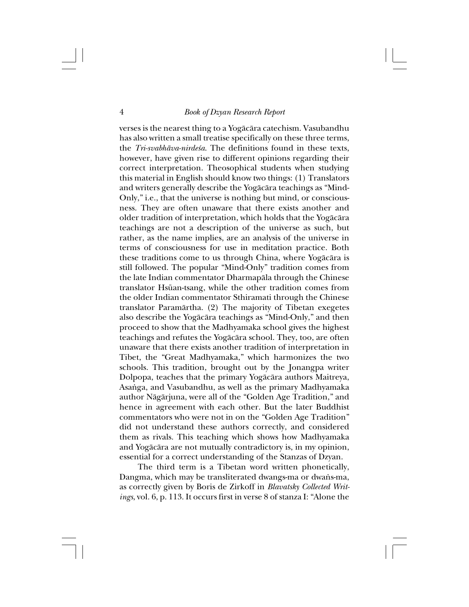verses is the nearest thing to a Yogåcåra catechism. Vasubandhu has also written a small treatise specifically on these three terms, the *Tri-svabhāva-nirde≤a*. The definitions found in these texts, however, have given rise to different opinions regarding their correct interpretation. Theosophical students when studying this material in English should know two things: (1) Translators and writers generally describe the Yogåcåra teachings as "Mind-Only," i.e., that the universe is nothing but mind, or consciousness. They are often unaware that there exists another and older tradition of interpretation, which holds that the Yogåcåra teachings are not a description of the universe as such, but rather, as the name implies, are an analysis of the universe in terms of consciousness for use in meditation practice. Both these traditions come to us through China, where Yogåcåra is still followed. The popular "Mind-Only" tradition comes from the late Indian commentator Dharmapåla through the Chinese translator Hsüan-tsang, while the other tradition comes from the older Indian commentator Sthiramati through the Chinese translator Paramårtha. (2) The majority of Tibetan exegetes also describe the Yogåcåra teachings as "Mind-Only," and then proceed to show that the Madhyamaka school gives the highest teachings and refutes the Yogåcåra school. They, too, are often unaware that there exists another tradition of interpretation in Tibet, the "Great Madhyamaka," which harmonizes the two schools. This tradition, brought out by the Jonangpa writer Dolpopa, teaches that the primary Yogåcåra authors Maitreya, Asanga, and Vasubandhu, as well as the primary Madhyamaka author Någårjuna, were all of the "Golden Age Tradition," and hence in agreement with each other. But the later Buddhist commentators who were not in on the "Golden Age Tradition" did not understand these authors correctly, and considered them as rivals. This teaching which shows how Madhyamaka and Yogåcåra are not mutually contradictory is, in my opinion, essential for a correct understanding of the Stanzas of Dzyan.

The third term is a Tibetan word written phonetically, Dangma, which may be transliterated dwangs-ma or dwans-ma, as correctly given by Boris de Zirkoff in *Blavatsky Collected Writings*, vol. 6, p. 113. It occurs first in verse 8 of stanza I: "Alone the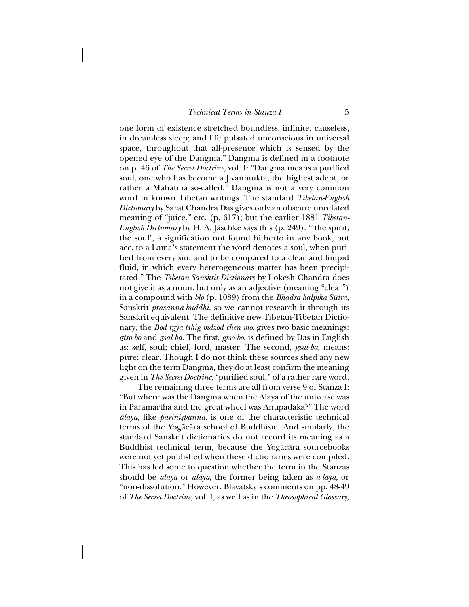one form of existence stretched boundless, infinite, causeless, in dreamless sleep; and life pulsated unconscious in universal space, throughout that all-presence which is sensed by the opened eye of the Dangma." Dangma is defined in a footnote on p. 46 of *The Secret Doctrine*, vol. I: "Dangma means a purified soul, one who has become a Jivanmukta, the highest adept, or rather a Mahatma so-called." Dangma is not a very common word in known Tibetan writings. The standard *Tibetan-English Dictionary* by Sarat Chandra Das gives only an obscure unrelated meaning of "juice," etc. (p. 617); but the earlier 1881 *Tibetan-English Dictionary* by H. A. Jäschke says this (p. 249): "'the spirit; the soul', a signification not found hitherto in any book, but acc. to a Lama's statement the word denotes a soul, when purified from every sin, and to be compared to a clear and limpid fluid, in which every heterogeneous matter has been precipitated." The *Tibetan-Sanskrit Dictionary* by Lokesh Chandra does not give it as a noun, but only as an adjective (meaning "clear") in a compound with *blo* (p. 1089) from the *Bhadra-kalpika Sütra*, Sanskrit *prasanna-buddhi*, so we cannot research it through its Sanskrit equivalent. The definitive new Tibetan-Tibetan Dictionary, the *Bod rgya tshig mdzod chen mo*, gives two basic meanings: *gtso-bo* and *gsal-ba*. The first, *gtso-bo*, is defined by Das in English as: self, soul; chief, lord, master. The second, *gsal-ba*, means: pure; clear. Though I do not think these sources shed any new light on the term Dangma, they do at least confirm the meaning given in *The Secret Doctrine*, "purified soul," of a rather rare word.

The remaining three terms are all from verse 9 of Stanza I: "But where was the Dangma when the Alaya of the universe was in Paramartha and the great wheel was Anupadaka?" The word *ålaya*, like *parinißpanna*, is one of the characteristic technical terms of the Yogåcåra school of Buddhism. And similarly, the standard Sanskrit dictionaries do not record its meaning as a Buddhist technical term, because the Yogåcåra sourcebooks were not yet published when these dictionaries were compiled. This has led some to question whether the term in the Stanzas should be *alaya* or *ålaya*, the former being taken as *a-laya*, or "non-dissolution." However, Blavatsky's comments on pp. 48-49 of *The Secret Doctrine*, vol. I, as well as in the *Theosophical Glossary*,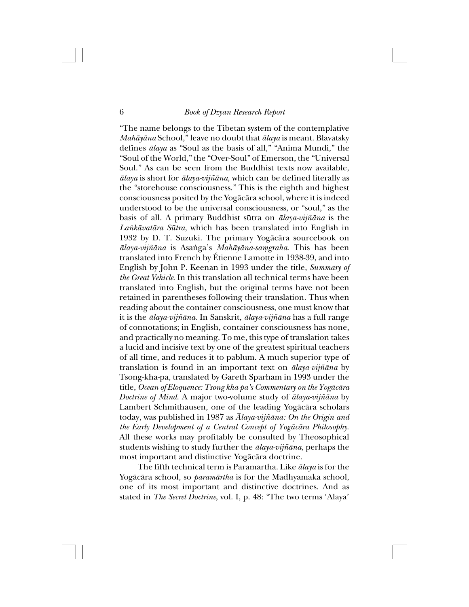"The name belongs to the Tibetan system of the contemplative *Mahåyåna* School," leave no doubt that *ålaya* is meant. Blavatsky defines *ålaya* as "Soul as the basis of all," "Anima Mundi," the "Soul of the World," the "Over-Soul" of Emerson, the "Universal Soul." As can be seen from the Buddhist texts now available, *ålaya* is short for *ålaya-vij∆åna*, which can be defined literally as the "storehouse consciousness." This is the eighth and highest consciousness posited by the Yogåcåra school, where it is indeed understood to be the universal consciousness, or "soul," as the basis of all. A primary Buddhist sütra on *ålaya-vij∆åna* is the *La∫kåvatåra Sütra*, which has been translated into English in 1932 by D. T. Suzuki. The primary Yogåcåra sourcebook on  $\bar{a}$ *laya-vijñāna* is Asanga's *Mahāyāna-samgraha*. This has been translated into French by Étienne Lamotte in 1938-39, and into English by John P. Keenan in 1993 under the title, *Summary of the Great Vehicle*. In this translation all technical terms have been translated into English, but the original terms have not been retained in parentheses following their translation. Thus when reading about the container consciousness, one must know that it is the *ålaya-vij∆åna*. In Sanskrit, *ålaya-vij∆åna* has a full range of connotations; in English, container consciousness has none, and practically no meaning. To me, this type of translation takes a lucid and incisive text by one of the greatest spiritual teachers of all time, and reduces it to pablum. A much superior type of translation is found in an important text on *ālaya-vijñāna* by Tsong-kha-pa, translated by Gareth Sparham in 1993 under the title, *Ocean of Eloquence: Tsong kha pa's Commentary on the Yogåcåra Doctrine of Mind*. A major two-volume study of *ālaya-vijñāna* by Lambert Schmithausen, one of the leading Yogåcåra scholars today, was published in 1987 as *Ålaya-vij∆åna: On the Origin and the Early Development of a Central Concept of Yogåcåra Philosophy*. All these works may profitably be consulted by Theosophical students wishing to study further the *ālaya-vijñāna*, perhaps the most important and distinctive Yogåcåra doctrine.

The fifth technical term is Paramartha. Like *ålaya* is for the Yogåcåra school, so *paramårtha* is for the Madhyamaka school, one of its most important and distinctive doctrines. And as stated in *The Secret Doctrine*, vol. I, p. 48: "The two terms 'Alaya'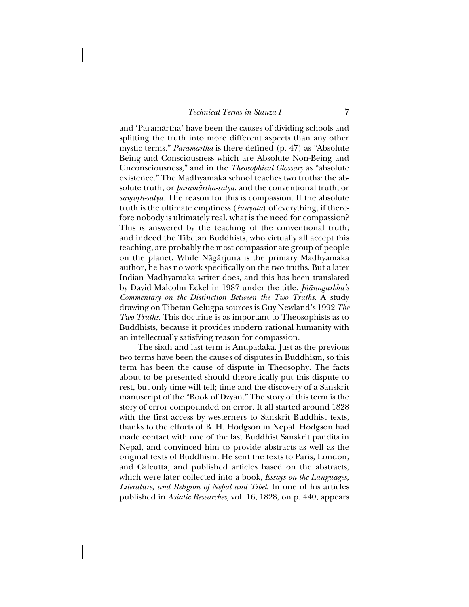and 'Paramårtha' have been the causes of dividing schools and splitting the truth into more different aspects than any other mystic terms." *Paramårtha* is there defined (p. 47) as "Absolute Being and Consciousness which are Absolute Non-Being and Unconsciousness," and in the *Theosophical Glossary* as "absolute existence." The Madhyamaka school teaches two truths: the absolute truth, or *paramårtha-satya*, and the conventional truth, or *samvrti-satya*. The reason for this is compassion. If the absolute truth is the ultimate emptiness (*≈ünyatå*) of everything, if therefore nobody is ultimately real, what is the need for compassion? This is answered by the teaching of the conventional truth; and indeed the Tibetan Buddhists, who virtually all accept this teaching, are probably the most compassionate group of people on the planet. While Någårjuna is the primary Madhyamaka author, he has no work specifically on the two truths. But a later Indian Madhyamaka writer does, and this has been translated by David Malcolm Eckel in 1987 under the title, *Jñānagarbha's Commentary on the Distinction Between the Two Truths*. A study drawing on Tibetan Gelugpa sources is Guy Newland's 1992 *The Two Truths*. This doctrine is as important to Theosophists as to Buddhists, because it provides modern rational humanity with an intellectually satisfying reason for compassion.

The sixth and last term is Anupadaka. Just as the previous two terms have been the causes of disputes in Buddhism, so this term has been the cause of dispute in Theosophy. The facts about to be presented should theoretically put this dispute to rest, but only time will tell; time and the discovery of a Sanskrit manuscript of the "Book of Dzyan." The story of this term is the story of error compounded on error. It all started around 1828 with the first access by westerners to Sanskrit Buddhist texts, thanks to the efforts of B. H. Hodgson in Nepal. Hodgson had made contact with one of the last Buddhist Sanskrit pandits in Nepal, and convinced him to provide abstracts as well as the original texts of Buddhism. He sent the texts to Paris, London, and Calcutta, and published articles based on the abstracts, which were later collected into a book, *Essays on the Languages, Literature, and Religion of Nepal and Tibet*. In one of his articles published in *Asiatic Researches*, vol. 16, 1828, on p. 440, appears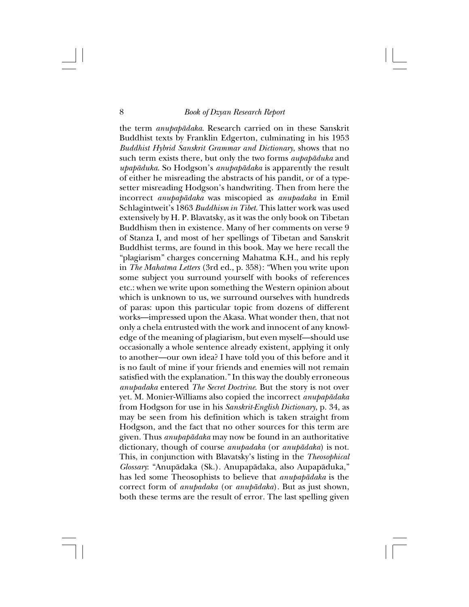the term *anupapådaka*. Research carried on in these Sanskrit Buddhist texts by Franklin Edgerton, culminating in his 1953 *Buddhist Hybrid Sanskrit Grammar and Dictionary*, shows that no such term exists there, but only the two forms *aupapåduka* and *upapåduka*. So Hodgson's *anupapådaka* is apparently the result of either he misreading the abstracts of his pandit, or of a typesetter misreading Hodgson's handwriting. Then from here the incorrect *anupapådaka* was miscopied as *anupadaka* in Emil Schlagintweit's 1863 *Buddhism in Tibet*. This latter work was used extensively by H. P. Blavatsky, as it was the only book on Tibetan Buddhism then in existence. Many of her comments on verse 9 of Stanza I, and most of her spellings of Tibetan and Sanskrit Buddhist terms, are found in this book. May we here recall the "plagiarism" charges concerning Mahatma K.H., and his reply in *The Mahatma Letters* (3rd ed., p. 358): "When you write upon some subject you surround yourself with books of references etc.: when we write upon something the Western opinion about which is unknown to us, we surround ourselves with hundreds of paras: upon this particular topic from dozens of different works—impressed upon the Akasa. What wonder then, that not only a chela entrusted with the work and innocent of any knowledge of the meaning of plagiarism, but even myself—should use occasionally a whole sentence already existent, applying it only to another—our own idea? I have told you of this before and it is no fault of mine if your friends and enemies will not remain satisfied with the explanation." In this way the doubly erroneous *anupadaka* entered *The Secret Doctrine*. But the story is not over yet. M. Monier-Williams also copied the incorrect *anupapådaka* from Hodgson for use in his *Sanskrit-English Dictionary*, p. 34, as may be seen from his definition which is taken straight from Hodgson, and the fact that no other sources for this term are given. Thus *anupapådaka* may now be found in an authoritative dictionary, though of course *anupadaka* (or *anupådaka*) is not. This, in conjunction with Blavatsky's listing in the *Theosophical Glossary*: "Anupådaka (Sk.). Anupapådaka, also Aupapåduka," has led some Theosophists to believe that *anupapådaka* is the correct form of *anupadaka* (or *anupådaka*). But as just shown, both these terms are the result of error. The last spelling given